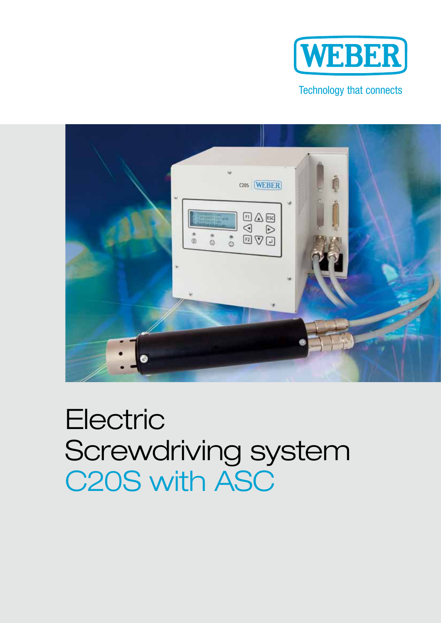

#### Technology that connects



# **Electric** Screwdriving system C20S with ASC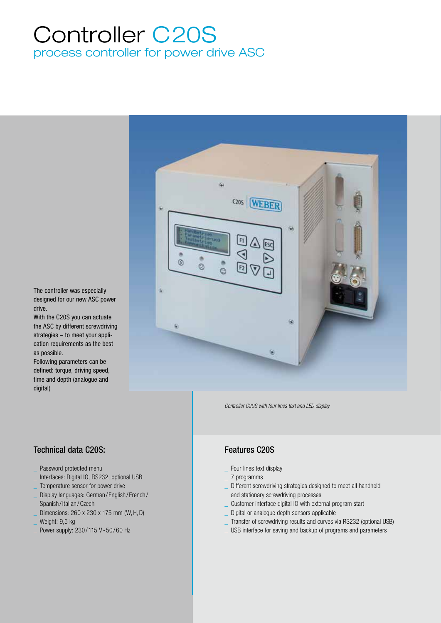### Controller C20S process controller for power drive ASC



*Controller C20S with four lines text and LED display*

#### Features C20S

- Four lines text display
- \_ 7 programms
- Different screwdriving strategies designed to meet all handheld and stationary screwdriving processes
- \_ Customer interface digital IO with external program start
- \_ Digital or analogue depth sensors applicable
- Transfer of screwdriving results and curves via RS232 (optional USB)
- USB interface for saving and backup of programs and parameters

The controller was especially designed for our new ASC power drive.

With the C20S you can actuate the ASC by different screwdriving strategies – to meet your application requirements as the best as possible.

Following parameters can be defined: torque, driving speed, time and depth (analogue and digital)

#### Technical data C20S:

- Password protected menu
- Interfaces: Digital IO, RS232, optional USB
- Temperature sensor for power drive
- Display languages: German / English / French / Spanish / Italian / Czech
- Dimensions: 260 x 230 x 175 mm (W, H, D)
- Weight: 9.5 kg
- Power supply: 230/115 V 50/60 Hz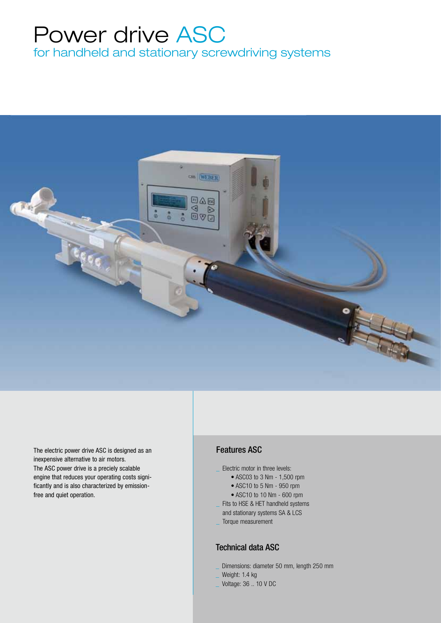## Power drive ASC

for handheld and stationary screwdriving systems



The electric power drive ASC is designed as an inexpensive alternative to air motors. The ASC power drive is a preciely scalable engine that reduces your operating costs significantly and is also characterized by emissionfree and quiet operation.

#### Features ASC

- Flectric motor in three levels:
	- ASC03 to 3 Nm 1,500 rpm
	- ASC10 to 5 Nm 950 rpm
	- ASC10 to 10 Nm 600 rpm
- Fits to HSE & HET handheld systems
- and stationary systems SA & LCS
- \_ Torque measurement

#### Technical data ASC

- Dimensions: diameter 50 mm, length 250 mm
- Weight: 1.4 kg
- \_ Voltage: 36 .. 10 V DC